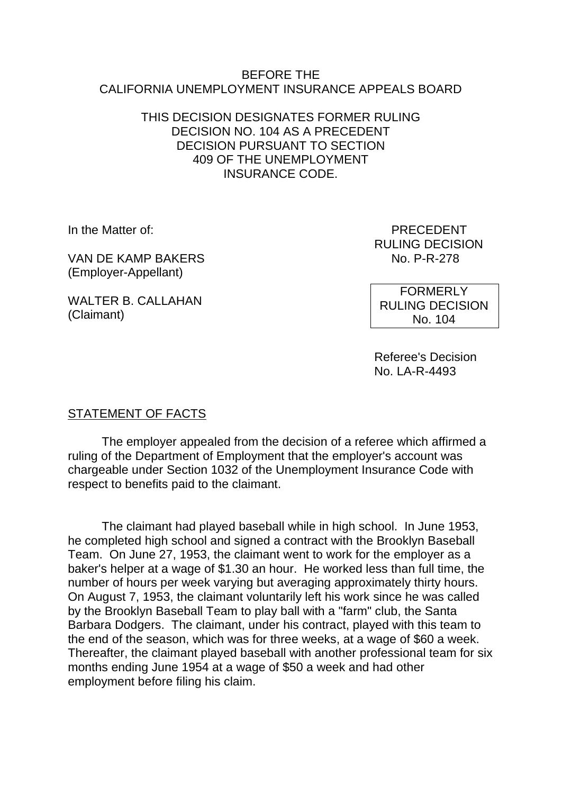#### BEFORE THE CALIFORNIA UNEMPLOYMENT INSURANCE APPEALS BOARD

#### THIS DECISION DESIGNATES FORMER RULING DECISION NO. 104 AS A PRECEDENT DECISION PURSUANT TO SECTION 409 OF THE UNEMPLOYMENT INSURANCE CODE.

VAN DE KAMP BAKERS (Employer-Appellant)

WALTER B. CALLAHAN (Claimant)

In the Matter of: PRECEDENT RULING DECISION<br>No. P-R-278

> FORMERLY RULING DECISION No. 104

Referee's Decision No. LA-R-4493

# STATEMENT OF FACTS

The employer appealed from the decision of a referee which affirmed a ruling of the Department of Employment that the employer's account was chargeable under Section 1032 of the Unemployment Insurance Code with respect to benefits paid to the claimant.

The claimant had played baseball while in high school. In June 1953, he completed high school and signed a contract with the Brooklyn Baseball Team. On June 27, 1953, the claimant went to work for the employer as a baker's helper at a wage of \$1.30 an hour. He worked less than full time, the number of hours per week varying but averaging approximately thirty hours. On August 7, 1953, the claimant voluntarily left his work since he was called by the Brooklyn Baseball Team to play ball with a "farm" club, the Santa Barbara Dodgers. The claimant, under his contract, played with this team to the end of the season, which was for three weeks, at a wage of \$60 a week. Thereafter, the claimant played baseball with another professional team for six months ending June 1954 at a wage of \$50 a week and had other employment before filing his claim.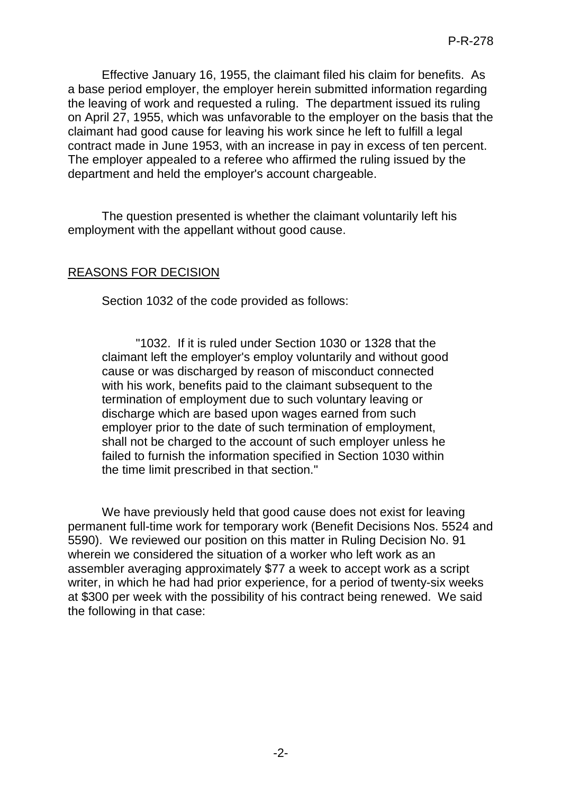Effective January 16, 1955, the claimant filed his claim for benefits. As a base period employer, the employer herein submitted information regarding the leaving of work and requested a ruling. The department issued its ruling on April 27, 1955, which was unfavorable to the employer on the basis that the claimant had good cause for leaving his work since he left to fulfill a legal contract made in June 1953, with an increase in pay in excess of ten percent. The employer appealed to a referee who affirmed the ruling issued by the department and held the employer's account chargeable.

The question presented is whether the claimant voluntarily left his employment with the appellant without good cause.

## REASONS FOR DECISION

Section 1032 of the code provided as follows:

"1032. If it is ruled under Section 1030 or 1328 that the claimant left the employer's employ voluntarily and without good cause or was discharged by reason of misconduct connected with his work, benefits paid to the claimant subsequent to the termination of employment due to such voluntary leaving or discharge which are based upon wages earned from such employer prior to the date of such termination of employment, shall not be charged to the account of such employer unless he failed to furnish the information specified in Section 1030 within the time limit prescribed in that section."

We have previously held that good cause does not exist for leaving permanent full-time work for temporary work (Benefit Decisions Nos. 5524 and 5590). We reviewed our position on this matter in Ruling Decision No. 91 wherein we considered the situation of a worker who left work as an assembler averaging approximately \$77 a week to accept work as a script writer, in which he had had prior experience, for a period of twenty-six weeks at \$300 per week with the possibility of his contract being renewed. We said the following in that case: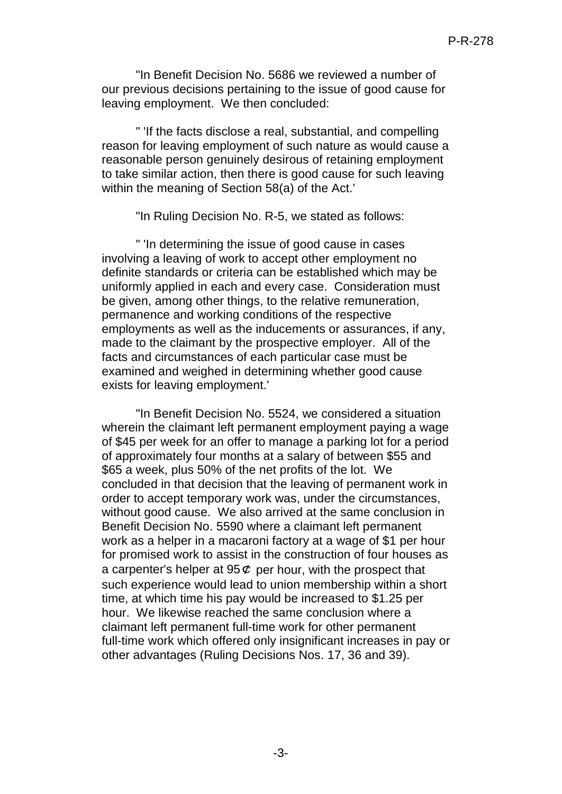"In Benefit Decision No. 5686 we reviewed a number of our previous decisions pertaining to the issue of good cause for leaving employment. We then concluded:

" 'If the facts disclose a real, substantial, and compelling reason for leaving employment of such nature as would cause a reasonable person genuinely desirous of retaining employment to take similar action, then there is good cause for such leaving within the meaning of Section 58(a) of the Act.'

"In Ruling Decision No. R-5, we stated as follows:

" 'In determining the issue of good cause in cases involving a leaving of work to accept other employment no definite standards or criteria can be established which may be uniformly applied in each and every case. Consideration must be given, among other things, to the relative remuneration, permanence and working conditions of the respective employments as well as the inducements or assurances, if any, made to the claimant by the prospective employer. All of the facts and circumstances of each particular case must be examined and weighed in determining whether good cause exists for leaving employment.'

"In Benefit Decision No. 5524, we considered a situation wherein the claimant left permanent employment paying a wage of \$45 per week for an offer to manage a parking lot for a period of approximately four months at a salary of between \$55 and \$65 a week, plus 50% of the net profits of the lot. We concluded in that decision that the leaving of permanent work in order to accept temporary work was, under the circumstances, without good cause. We also arrived at the same conclusion in Benefit Decision No. 5590 where a claimant left permanent work as a helper in a macaroni factory at a wage of \$1 per hour for promised work to assist in the construction of four houses as a carpenter's helper at  $95¢$  per hour, with the prospect that such experience would lead to union membership within a short time, at which time his pay would be increased to \$1.25 per hour. We likewise reached the same conclusion where a claimant left permanent full-time work for other permanent full-time work which offered only insignificant increases in pay or other advantages (Ruling Decisions Nos. 17, 36 and 39).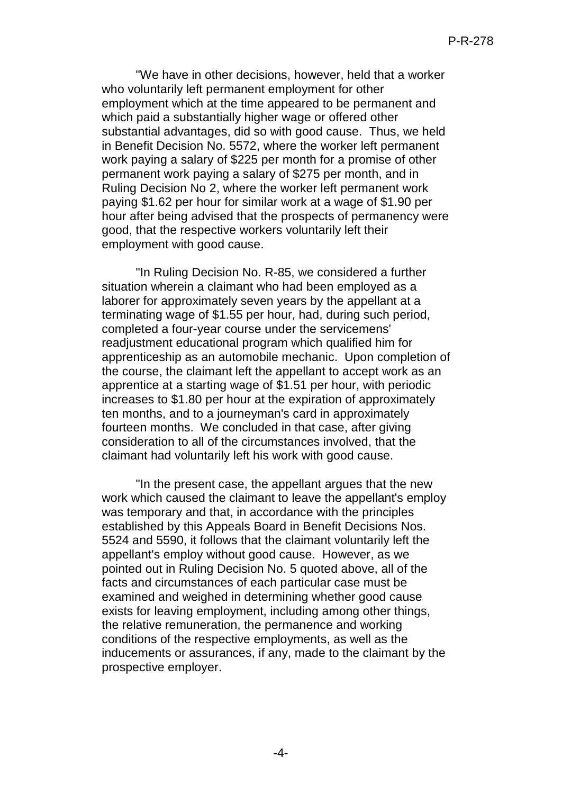"We have in other decisions, however, held that a worker who voluntarily left permanent employment for other employment which at the time appeared to be permanent and which paid a substantially higher wage or offered other substantial advantages, did so with good cause. Thus, we held in Benefit Decision No. 5572, where the worker left permanent work paying a salary of \$225 per month for a promise of other permanent work paying a salary of \$275 per month, and in Ruling Decision No 2, where the worker left permanent work paying \$1.62 per hour for similar work at a wage of \$1.90 per hour after being advised that the prospects of permanency were good, that the respective workers voluntarily left their employment with good cause.

"In Ruling Decision No. R-85, we considered a further situation wherein a claimant who had been employed as a laborer for approximately seven years by the appellant at a terminating wage of \$1.55 per hour, had, during such period, completed a four-year course under the servicemens' readjustment educational program which qualified him for apprenticeship as an automobile mechanic. Upon completion of the course, the claimant left the appellant to accept work as an apprentice at a starting wage of \$1.51 per hour, with periodic increases to \$1.80 per hour at the expiration of approximately ten months, and to a journeyman's card in approximately fourteen months. We concluded in that case, after giving consideration to all of the circumstances involved, that the claimant had voluntarily left his work with good cause.

"In the present case, the appellant argues that the new work which caused the claimant to leave the appellant's employ was temporary and that, in accordance with the principles established by this Appeals Board in Benefit Decisions Nos. 5524 and 5590, it follows that the claimant voluntarily left the appellant's employ without good cause. However, as we pointed out in Ruling Decision No. 5 quoted above, all of the facts and circumstances of each particular case must be examined and weighed in determining whether good cause exists for leaving employment, including among other things, the relative remuneration, the permanence and working conditions of the respective employments, as well as the inducements or assurances, if any, made to the claimant by the prospective employer.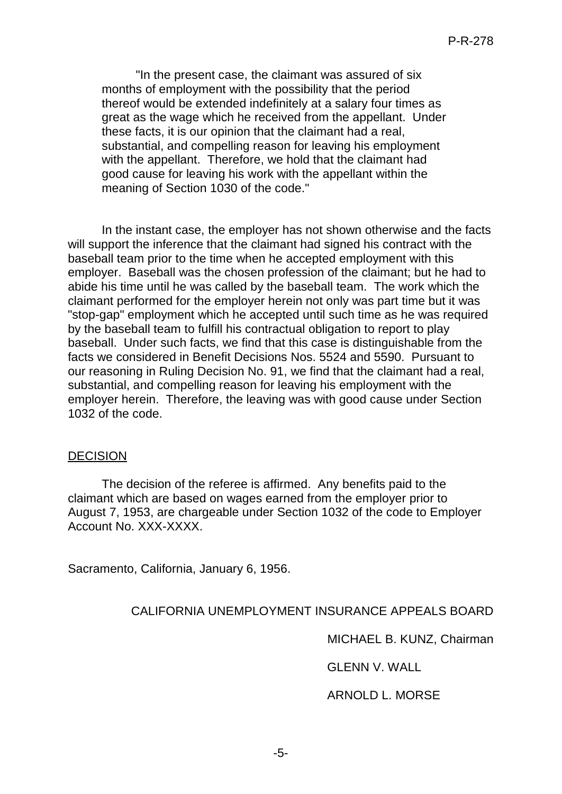"In the present case, the claimant was assured of six months of employment with the possibility that the period thereof would be extended indefinitely at a salary four times as great as the wage which he received from the appellant. Under these facts, it is our opinion that the claimant had a real, substantial, and compelling reason for leaving his employment with the appellant. Therefore, we hold that the claimant had good cause for leaving his work with the appellant within the meaning of Section 1030 of the code."

In the instant case, the employer has not shown otherwise and the facts will support the inference that the claimant had signed his contract with the baseball team prior to the time when he accepted employment with this employer. Baseball was the chosen profession of the claimant; but he had to abide his time until he was called by the baseball team. The work which the claimant performed for the employer herein not only was part time but it was "stop-gap" employment which he accepted until such time as he was required by the baseball team to fulfill his contractual obligation to report to play baseball. Under such facts, we find that this case is distinguishable from the facts we considered in Benefit Decisions Nos. 5524 and 5590. Pursuant to our reasoning in Ruling Decision No. 91, we find that the claimant had a real, substantial, and compelling reason for leaving his employment with the employer herein. Therefore, the leaving was with good cause under Section 1032 of the code.

#### DECISION

The decision of the referee is affirmed. Any benefits paid to the claimant which are based on wages earned from the employer prior to August 7, 1953, are chargeable under Section 1032 of the code to Employer Account No. XXX-XXXX.

Sacramento, California, January 6, 1956.

CALIFORNIA UNEMPLOYMENT INSURANCE APPEALS BOARD

MICHAEL B. KUNZ, Chairman

GLENN V. WALL

ARNOLD L. MORSE